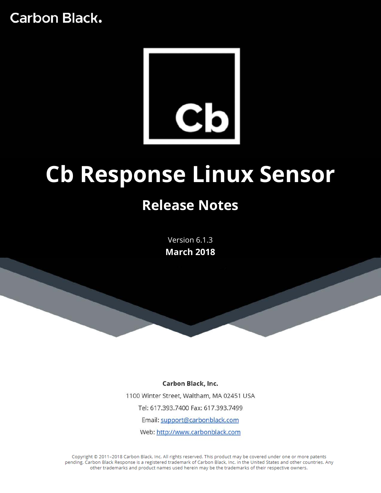# **Carbon Black.**



# **Cb Response Linux Sensor Release Notes**

Version 6.1.3 **March 2018**

Carbon Black, Inc. 1100 Winter Street, Waltham, MA 02451 USA Tel: 617.393.7400 Fax: 617.393.7499 Email: support@carbonblack.com Web: http://www.carbonblack.com

Copyright @ 2011-2018 Carbon Black, Inc. All rights reserved. This product may be covered under one or more patents pending. Carbon Black Response is a registered trademark of Carbon Black, Inc. in the United States and other countries. Any other trademarks and product names used herein may be the trademarks of their respective owners.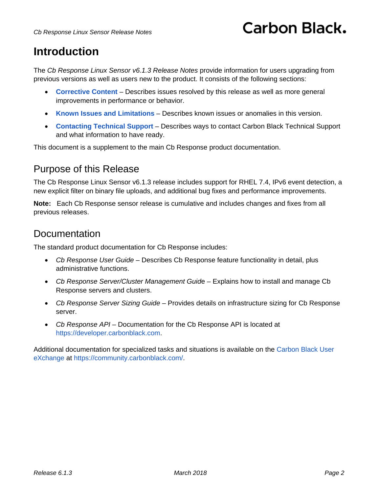# **Carbon Black,**

### **Introduction**

The *Cb Response Linux Sensor v6.1.3 Release Notes* provide information for users upgrading from previous versions as well as users new to the product. It consists of the following sections:

- **[Corrective Content](#page-2-0)** Describes issues resolved by this release as well as more general improvements in performance or behavior.
- **[Known Issues and Limitations](#page-3-0)** Describes known issues or anomalies in this version.
- **[Contacting Technical Support](#page-3-1)** Describes ways to contact Carbon Black Technical Support and what information to have ready.

This document is a supplement to the main Cb Response product documentation.

#### Purpose of this Release

The Cb Response Linux Sensor v6.1.3 release includes support for RHEL 7.4, IPv6 event detection, a new explicit filter on binary file uploads, and additional bug fixes and performance improvements.

**Note:** Each Cb Response sensor release is cumulative and includes changes and fixes from all previous releases.

#### **Documentation**

The standard product documentation for Cb Response includes:

- *Cb Response User Guide* Describes Cb Response feature functionality in detail, plus administrative functions.
- *Cb Response Server/Cluster Management Guid*e Explains how to install and manage Cb Response servers and clusters.
- *Cb Response Server Sizing Guide* Provides details on infrastructure sizing for Cb Response server.
- *Cb Response API* Documentation for the Cb Response API is located a[t](https://github.com/carbonblack/cbapi) [https://developer.carbonblack.com.](https://developer.carbonblack.com/)

Additional documentation for specialized tasks and situations is available on the [Carbon Black User](https://community.carbonblack.com/)  [eXchange](https://community.carbonblack.com/) at https://community.carbonblack.com/.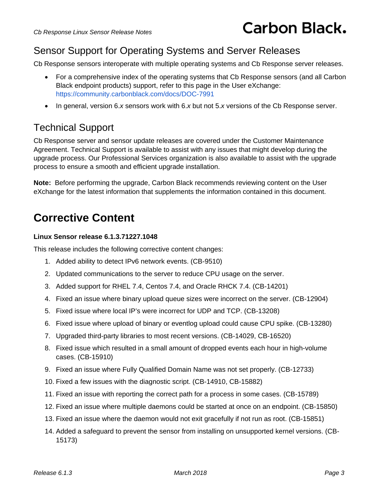#### Sensor Support for Operating Systems and Server Releases

Cb Response sensors interoperate with multiple operating systems and Cb Response server releases.

- For a comprehensive index of the operating systems that Cb Response sensors (and all Carbon Black endpoint products) support, refer to this page in the User eXchange: <https://community.carbonblack.com/docs/DOC-7991>
- In general, version 6.*x* sensors work with 6.*x* but not 5.*x* versions of the Cb Response server.

#### Technical Support

Cb Response server and sensor update releases are covered under the Customer Maintenance Agreement. Technical Support is available to assist with any issues that might develop during the upgrade process. Our Professional Services organization is also available to assist with the upgrade process to ensure a smooth and efficient upgrade installation.

**Note:** Before performing the upgrade, Carbon Black recommends reviewing content on the User eXchange for the latest information that supplements the information contained in this document.

## <span id="page-2-0"></span>**Corrective Content**

#### **Linux Sensor release 6.1.3.71227.1048**

This release includes the following corrective content changes:

- 1. Added ability to detect IPv6 network events. (CB-9510)
- 2. Updated communications to the server to reduce CPU usage on the server.
- 3. Added support for RHEL 7.4, Centos 7.4, and Oracle RHCK 7.4. (CB-14201)
- 4. Fixed an issue where binary upload queue sizes were incorrect on the server. (CB-12904)
- 5. Fixed issue where local IP's were incorrect for UDP and TCP. (CB-13208)
- 6. Fixed issue where upload of binary or eventlog upload could cause CPU spike. (CB-13280)
- 7. Upgraded third-party libraries to most recent versions. (CB-14029, CB-16520)
- 8. Fixed issue which resulted in a small amount of dropped events each hour in high-volume cases. (CB-15910)
- 9. Fixed an issue where Fully Qualified Domain Name was not set properly. (CB-12733)
- 10. Fixed a few issues with the diagnostic script. (CB-14910, CB-15882)
- 11. Fixed an issue with reporting the correct path for a process in some cases. (CB-15789)
- 12. Fixed an issue where multiple daemons could be started at once on an endpoint. (CB-15850)
- 13. Fixed an issue where the daemon would not exit gracefully if not run as root. (CB-15851)
- 14. Added a safeguard to prevent the sensor from installing on unsupported kernel versions. (CB-15173)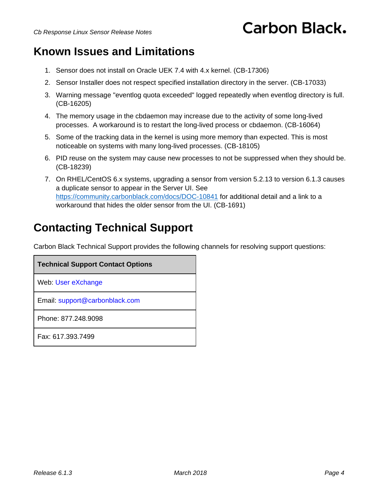# **Carbon Black.**

### <span id="page-3-0"></span>**Known Issues and Limitations**

- 1. Sensor does not install on Oracle UEK 7.4 with 4.x kernel. (CB-17306)
- 2. Sensor Installer does not respect specified installation directory in the server. (CB-17033)
- 3. Warning message "eventlog quota exceeded" logged repeatedly when eventlog directory is full. (CB-16205)
- 4. The memory usage in the cbdaemon may increase due to the activity of some long-lived processes. A workaround is to restart the long-lived process or cbdaemon. (CB-16064)
- 5. Some of the tracking data in the kernel is using more memory than expected. This is most noticeable on systems with many long-lived processes. (CB-18105)
- 6. PID reuse on the system may cause new processes to not be suppressed when they should be. (CB-18239)
- 7. On RHEL/CentOS 6.x systems, upgrading a sensor from version 5.2.13 to version 6.1.3 causes a duplicate sensor to appear in the Server UI. See <https://community.carbonblack.com/docs/DOC-10841> for additional detail and a link to a workaround that hides the older sensor from the UI. (CB-1691)

# <span id="page-3-1"></span>**Contacting Technical Support**

Carbon Black Technical Support provides the following channels for resolving support questions:

| <b>Technical Support Contact Options</b> |
|------------------------------------------|
| Web: User eXchange                       |
| Email: support@carbonblack.com           |
| Phone: 877,248,9098                      |
| Fax: 617, 393, 7499                      |